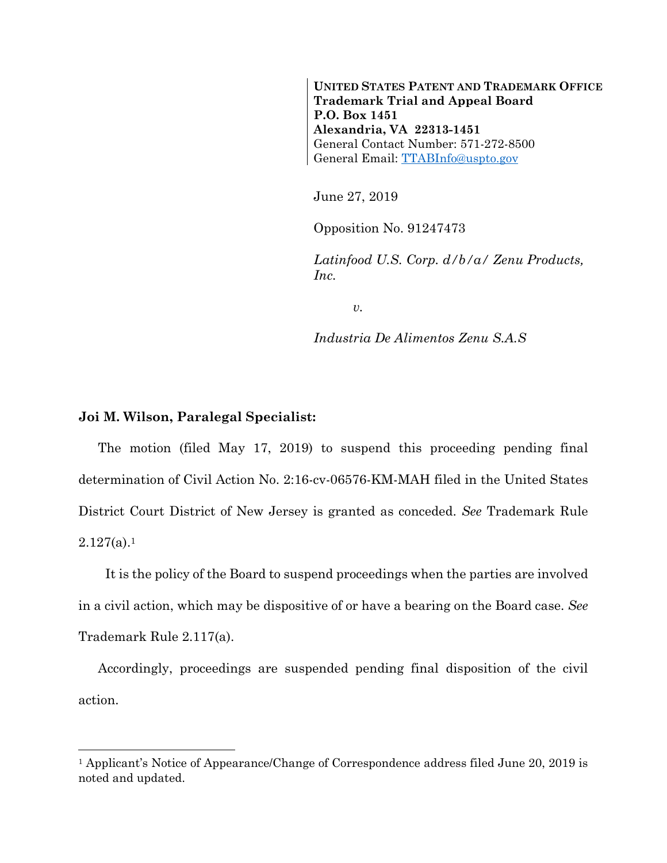**UNITED STATES PATENT AND TRADEMARK OFFICE Trademark Trial and Appeal Board P.O. Box 1451 Alexandria, VA 22313-1451**  General Contact Number: 571-272-8500 General Email: TTABInfo@uspto.gov

June 27, 2019

Opposition No. 91247473

*Latinfood U.S. Corp. d/b/a/ Zenu Products, Inc.* 

*v.* 

*Industria De Alimentos Zenu S.A.S* 

## **Joi M. Wilson, Paralegal Specialist:**

1

The motion (filed May 17, 2019) to suspend this proceeding pending final determination of Civil Action No. 2:16-cv-06576-KM-MAH filed in the United States District Court District of New Jersey is granted as conceded. *See* Trademark Rule  $2.127(a).1$ 

 It is the policy of the Board to suspend proceedings when the parties are involved in a civil action, which may be dispositive of or have a bearing on the Board case. *See* Trademark Rule 2.117(a).

Accordingly, proceedings are suspended pending final disposition of the civil action.

<sup>&</sup>lt;sup>1</sup> Applicant's Notice of Appearance/Change of Correspondence address filed June 20, 2019 is noted and updated.